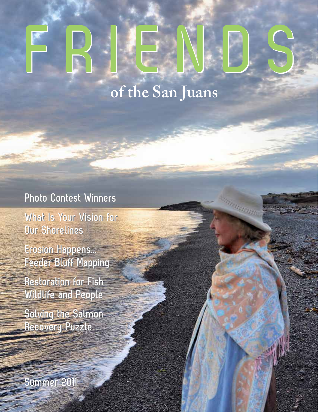# **FRIENDS FRIENDS**

### **of the San Juans**

magana

### **Photo Contest Winners Photo Contest Winners**

**What Is Your Vision for What Is Your Vision for Our Shorelines Our Shorelines**

**Erosion Happens... Erosion Happens... Feeder Bluff Mapping Feeder Bluff Mapping**

**Restoration for Fish Restoration for Fish Wildlife and People Wildlife and People**

**Solving the Salmon Solving the Salmon Recovery Puzzle Recovery Puzzle**

**Summer 2011 Summer 2011**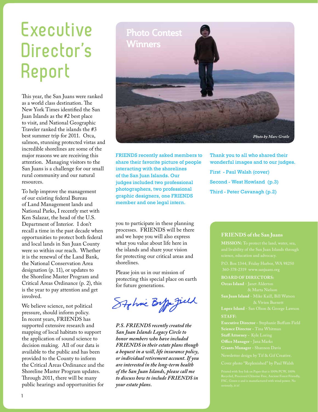### **Executive Director's Report**

This year, the San Juans were ranked as a world class destination. The New York Times identified the San Juan Islands as the #2 best place to visit, and National Geographic Traveler ranked the islands the #3 best summer trip for 2011. Orca, salmon, stunning protected vistas and incredible shorelines are some of the major reasons we are receiving this attention. Managing visitors to the San Juans is a challenge for our small rural community and our natural resources.

To help improve the management of our existing federal Bureau of Land Management lands and National Parks, I recently met with Ken Salazar, the head of the U.S. Department of Interior. I don't recall a time in the past decade when opportunities to protect both federal and local lands in San Juan County were so within our reach. Whether it is the renewal of the Land Bank, the National Conservation Area designation (p. 11), or updates to the Shoreline Master Program and Critical Areas Ordinance (p. 2), this is the year to pay attention and get involved.

We believe science, not political pressure, should inform policy. In recent years, FRIENDS has supported extensive research and mapping of local habitats to support the application of sound science to decision making. All of our data is available to the public and has been provided to the County to inform the Critical Areas Ordinance and the Shoreline Master Program updates. Through 2011, there will be many public hearings and opportunities for



FRIENDS recently asked members to share their favorite picture of people interacting with the shorelines of the San Juan Islands. Our judges included two professional photographers, two professional graphic designers, one FRIENDS member and one legal intern.

you to participate in these planning processes. FRIENDS will be there and we hope you will also express what you value about life here in the islands and share your vision for protecting our critical areas and shorelines.

Please join us in our mission of protecting this special place on earth for future generations.

Stohnic Boffer Jill

*P.S. FRIENDS recently created the San Juan Islands Legacy Circle to honor members who have included FRIENDS in their estate plans though a bequest in a will, life insurance policy, or individual retirement account. If you are interested in the long-term health of the San Juan Islands, please call me to discuss how to include FRIENDS in your estate plans.* 

Thank you to all who shared their wonderful images and to our judges. First - Paul Walsh (cover) Second - West Howland (p.3) Third - Peter Cavanagh (p.2)

#### **FRIENDS of the San Juans**

#### **BOARD OF DIRECTORS:**

**San Juan Island** - Mike Kaill, Bill Watson

**STAFF:**

**Executive Director** *-* Stephanie Buffum Field

**Office Manager** *-* Jana Marks

**Grants Manager** *-* Shannon Davis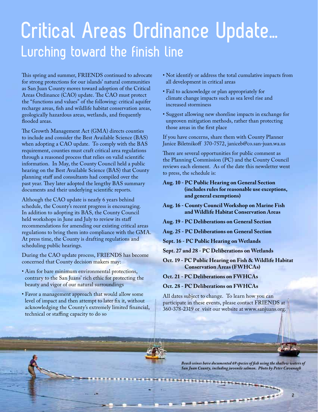### **Critical Areas Ordinance Update… Lurching toward the finish line**

This spring and summer, FRIENDS continued to advocate for strong protections for our islands' natural communities as San Juan County moves toward adoption of the Critical Areas Ordinance (CAO) update. The CAO must protect the "functions and values" of the following: critical aquifer recharge areas, fish and wildlife habitat conservation areas, geologically hazardous areas, wetlands, and frequently flooded areas.

The Growth Management Act (GMA) directs counties to include and consider the Best Available Science (BAS) when adopting a CAO update. To comply with the BAS requirement, counties must craft critical area regulations through a reasoned process that relies on valid scientific information. In May, the County Council held a public hearing on the Best Available Science (BAS) that County planning staff and consultants had compiled over the past year. They later adopted the lengthy BAS summary documents and their underlying scientific reports.

Although the CAO update is nearly 6 years behind schedule, the County's recent progress is encouraging. In addition to adopting its BAS, the County Council held workshops in June and July to review its staff recommendations for amending our existing critical areas regulations to bring them into compliance with the GMA. At press time, the County is drafting regulations and scheduling public hearings.

During the CAO update process, FRIENDS has become concerned that County decision makers may:

- Aim for bare minimum environmental protections, contrary to the San Juans' rich ethic for protecting the beauty and vigor of our natural surroundings
- Favor a management approach that would allow some level of impact and then attempt to later fix it, without acknowledging the County's extremely limited financial, technical or staffing capacity to do so
- Not identify or address the total cumulative impacts from all development in critical areas
- Fail to acknowledge or plan appropriately for climate change impacts such as sea level rise and increased storminess
- Suggest allowing new shoreline impacts in exchange for unproven mitigation methods, rather than protecting those areas in the first place

If you have concerns, share them with County Planner Janice Biletnikoff 370-7572, janiceb@co.san-juan.wa.us

There are several opportunities for public comment as the Planning Commission (PC) and the County Council reviews each element. As of the date this newsletter went to press, the schedule is:

- **Aug. 10 PC Public Hearing on General Section (includes rules for reasonable use exceptions, and general exemptions)**
- **Aug. 16 County Council Workshop on Marine Fish and Wildlife Habitat Conservation Areas**
- **Aug. 19 PC Deliberations on General Section**
- **Aug. 25 PC Deliberations on General Section**
- **Sept. 16 PC Public Hearing on Wetlands**
- **Sept. 27 and 28 PC Deliberations on Wetlands**
- **Oct. 19 PC Public Hearing on Fish & Wildlife Habitat Conservation Areas (FWHCAs)**
- **Oct. 21 PC Deliberations on FWHCAs**
- **Oct. 28 PC Deliberations on FWHCAs**

All dates subject to change. To learn how you can participate in these events, please contact FRIENDS at 360-378-2319 or visit our website at www.sanjuans.org.

*Beach seines have documented 69 species of fish using the shallow waters of San Juan County, including juvenile salmon. Photo by Peter Cavanagh*

------------------

**2**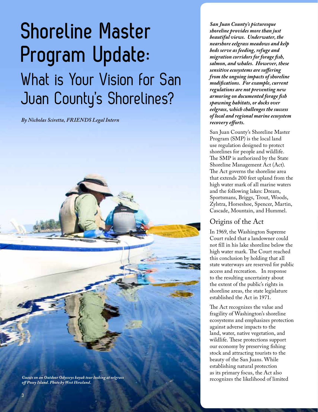# **Shoreline Master Program Update:** What is Your Vision for San Juan County's Shorelines?

*By Nicholas Sciretta, FRIENDS Legal Intern*



*San Juan County's picturesque shoreline provides more than just beautiful views. Underwater, the nearshore eelgrass meadows and kelp beds serve as feeding, refuge and migration corridors for forage fish, salmon, and whales. However, these sensitive ecosystems are suffering from the ongoing impacts of shoreline modifications. For example, current regulations are not preventing new armoring on documented forage fish spawning habitats, or docks over eelgrass, which challenges the success of local and regional marine ecosystem recovery efforts.*

San Juan County's Shoreline Master Program (SMP) is the local land use regulation designed to protect shorelines for people and wildlife. The SMP is authorized by the State Shoreline Management Act (Act). The Act governs the shoreline area that extends 200 feet upland from the high water mark of all marine waters and the following lakes: Dream, Sportsmans, Briggs, Trout, Woods, Zylstra, Horseshoe, Spencer, Martin, Cascade, Mountain, and Hummel.

#### Origins of the Act

In 1969, the Washington Supreme Court ruled that a landowner could not fill in his lake shoreline below the high water mark. The Court reached this conclusion by holding that all state waterways are reserved for public access and recreation. In response to the resulting uncertainty about the extent of the public's rights in shoreline areas, the state legislature established the Act in 1971.

The Act recognizes the value and fragility of Washington's shoreline ecosystems and emphasizes protection against adverse impacts to the land, water, native vegetation, and wildlife. These protections support our economy by preserving fishing stock and attracting tourists to the beauty of the San Juans. While establishing natural protection as its primary focus, the Act also recognizes the likelihood of limited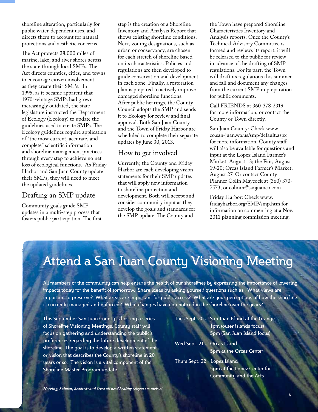shoreline alteration, particularly for public water-dependent uses, and directs them to account for natural protections and aesthetic concerns.

The Act protects 28,000 miles of marine, lake, and river shores across the state through local SMPs. The Act directs counties, cities, and towns to encourage citizen involvement as they create their SMPs. In 1995, as it became apparent that 1970s-vintage SMPs had grown increasingly outdated, the state legislature instructed the Department of Ecology (Ecology) to update the guidelines used to create SMPs. The Ecology guidelines require application of "the most current, accurate, and complete" scientific information and shoreline management practices through every step to achieve no net loss of ecological functions. As Friday Harbor and San Juan County update their SMPs, they will need to meet the updated guidelines.

#### Drafting an SMP update

Community goals guide SMP updates in a multi-step process that fosters public participation. The first step is the creation of a Shoreline Inventory and Analysis Report that shows existing shoreline conditions. Next, zoning designations, such as urban or conservancy, are chosen for each stretch of shoreline based on its characteristics. Policies and regulations are then developed to guide conservation and development in each zone. Finally, a restoration plan is prepared to actively improve damaged shoreline functions. After public hearings, the County Council adopts the SMP and sends it to Ecology for review and final approval. Both San Juan County and the Town of Friday Harbor are scheduled to complete their separate updates by June 30, 2013.

#### How to get involved

Currently, the County and Friday Harbor are each developing vision statements for their SMP updates that will apply new information to shoreline protection and development. Both will accept and consider community input as they develop the goals and standards for the SMP update. The County and

the Town have prepared Shoreline Characteristics Inventory and Analysis reports. Once the County's Technical Advisory Committee is formed and reviews its report, it will be released to the public for review in advance of the drafting of SMP regulations. For its part, the Town will draft its regulations this summer and fall and document any changes from the current SMP in preparation for public comments.

Call FRIENDS at 360-378-2319 for more information, or contact the County or Town directly.

San Juan County: Check www. co.san-juan.wa.us/smp/default.aspx for more information. County staff will also be available for questions and input at the Lopez Island Farmer's Market, August 13; the Fair, August 19-20; Orcas Island Farmer's Market, August 27. Or contact County Planner Colin Maycock at (360) 370- 7573, or colinm@sanjuanco.com.

Friday Harbor: Check www. fridayharbor.org/SMP/smp.htm for information on commenting at a Nov. 2011 planning commission meeting.

### Attend a San Juan County Visioning Meeting

All members of the community can help ensure the health of our shorelines by expressing the importance of lowering impacts today for the benefit of tomorrow. Share ideas by asking yourself questions such as: What views are important to preserve? What areas are important for public access? What are your perceptions of how the shoreline is currently managed and enforced? What changes have you noticed in the shoreline over the years?

This September San Juan County is hosting a series of Shoreline Visioning Meetings. County staff will focus on gathering and understanding the public's preferences regarding the future development of the shoreline. The goal is to develop a written statement or vision that describes the County's shoreline in 20 years or so. The vision is a vital component of the Shoreline Master Program update.

- Tues Sept. 20 San Juan Island at the Grange 1pm (outer islands focus) 5pm (San Juan Island focus)
- Wed Sept. 21 Orcas Island 5pm at the Orcas Center
- Thurs Sept. 22 Lopez Island 5pm at the Lopez Center for Community and the Arts

*Herring, Salmon, Seabirds and Orca all need healthy eelgrass to thrive!*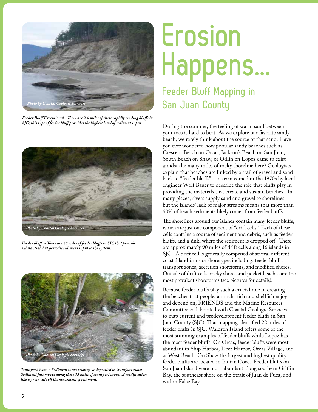

*Feeder Bluff Exceptional - There are 2.6 miles of these rapidly eroding bluffs in SJC; this type of feeder bluff provides the highest level of sediment input.* 



*Feeder bluff - There are 20 miles of feeder bluffs in SJC that provide substantial, but periodic sediment input to the system.*



*Transport Zone - Sediment is not eroding or deposited in transport zones. Sediment just moves along these 33 miles of transport areas. A modification like a groin cuts off the movement of sediment.*

# **Erosion Happens... Feeder Bluff Mapping in San Juan County**

During the summer, the feeling of warm sand between your toes is hard to beat. As we explore our favorite sandy beach, we rarely think about the source of that sand. Have you ever wondered how popular sandy beaches such as Crescent Beach on Orcas, Jackson's Beach on San Juan, South Beach on Shaw, or Odlin on Lopez came to exist amidst the many miles of rocky shoreline here? Geologists explain that beaches are linked by a trail of gravel and sand back to "feeder bluffs" -- a term coined in the 1970s by local engineer Wolf Bauer to describe the role that bluffs play in providing the materials that create and sustain beaches. In many places, rivers supply sand and gravel to shorelines, but the islands' lack of major streams means that more than 90% of beach sediments likely comes from feeder bluffs.

The shorelines around our islands contain many feeder bluffs, which are just one component of "drift cells." Each of these cells contains a source of sediment and debris, such as feeder bluffs, and a sink, where the sediment is dropped off. There are approximately 90 miles of drift cells along 16 islands in SJC. A drift cell is generally comprised of several different coastal landforms or shoretypes including: feeder bluffs, transport zones, accretion shoreforms, and modified shores. Outside of drift cells, rocky shores and pocket beaches are the most prevalent shoreforms (see pictures for details).

Because feeder bluffs play such a crucial role in creating the beaches that people, animals, fish and shellfish enjoy and depend on, FRIENDS and the Marine Resources Committee collaborated with Coastal Geologic Services to map current and predevelopment feeder bluffs in San Juan County (SJC). That mapping identified 22 miles of feeder bluffs in SJC. Waldron Island offers some of the most stunning examples of feeder bluffs while Lopez has the most feeder bluffs. On Orcas, feeder bluffs were most abundant in Ship Harbor, Deer Harbor, Orcas Village, and at West Beach. On Shaw the largest and highest quality feeder bluffs are located in Indian Cove. Feeder bluffs on San Juan Island were most abundant along southern Griffin Bay, the southeast shore on the Strait of Juan de Fuca, and within False Bay.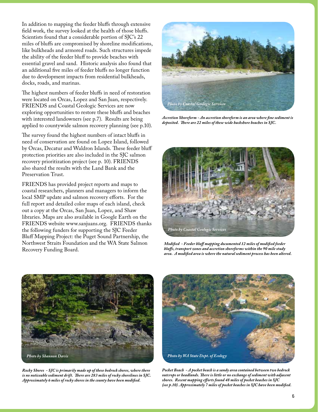In addition to mapping the feeder bluffs through extensive field work, the survey looked at the health of those bluffs. Scientists found that a considerable portion of SJC's 22 miles of bluffs are compromised by shoreline modifications, like bulkheads and armored roads. Such structures impede the ability of the feeder bluff to provide beaches with essential gravel and sand. Historic analysis also found that an additional five miles of feeder bluffs no longer function due to development impacts from residential bulkheads, docks, roads, and marinas.

The highest numbers of feeder bluffs in need of restoration were located on Orcas, Lopez and San Juan, respectively. FRIENDS and Coastal Geologic Services are now exploring opportunities to restore these bluffs and beaches with interested landowners (see p.7). Results are being applied to countywide salmon recovery planning (see p.10).

The survey found the highest numbers of intact bluffs in need of conservation are found on Lopez Island, followed by Orcas, Decatur and Waldron Islands. These feeder bluff protection priorities are also included in the SJC salmon recovery prioritization project (see p. 10). FRIENDS also shared the results with the Land Bank and the Preservation Trust.

FRIENDS has provided project reports and maps to coastal researchers, planners and managers to inform the local SMP update and salmon recovery efforts. For the full report and detailed color maps of each island, check out a copy at the Orcas, San Juan, Lopez, and Shaw libraries. Maps are also available in Google Earth on the FRIENDS website www.sanjuans.org. FRIENDS thanks the following funders for supporting the SJC Feeder Bluff Mapping Project: the Puget Sound Partnership, the Northwest Straits Foundation and the WA State Salmon Recovery Funding Board.



*Accretion Shoreform - An accretion shoreform is an area where fine sediment is deposited. There are 22 miles of these wide backshore beaches in SJC.*



*Modified - Feeder bluff mapping documented 12 miles of modified feeder bluffs, transport zones and accretion shoreforms within the 90 mile study area. A modified area is where the natural sediment process has been altered.*



*Rocky Shores - SJC is primarily made up of these bedrock shores, where there is no noticeable sediment drift. There are 283 miles of rocky shorelines in SJC. Approximately 6 miles of rocky shores in the county have been modified.*



*Pocket Beach - A pocket beach is a sandy area contained between two bedrock outcrops or headlands. There is little or no exchange of sediment with adjacent shores. Recent mapping efforts found 48 miles of pocket beaches in SJC (see p.10). Approximately 7 miles of pocket beaches in SJC have been modified.*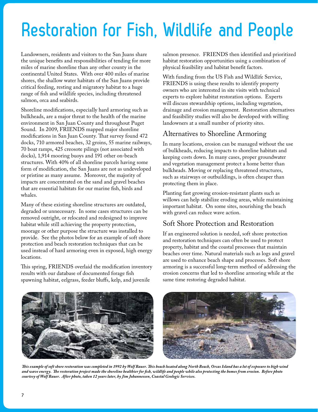# **Restoration for Fish, Wildlife and People**

Landowners, residents and visitors to the San Juans share the unique benefits and responsibilities of tending for more miles of marine shoreline than any other county in the continental United States. With over 400 miles of marine shores, the shallow water habitats of the San Juans provide critical feeding, resting and migratory habitat to a huge range of fish and wildlife species, including threatened salmon, orca and seabirds.

Shoreline modifications, especially hard armoring such as bulkheads, are a major threat to the health of the marine environment in San Juan County and throughout Puget Sound. In 2009, FRIENDS mapped major shoreline modifications in San Juan County. That survey found 472 docks, 710 armored beaches, 32 groins, 55 marine railways, 70 boat ramps, 425 creosote pilings (not associated with docks), 1,914 mooring buoys and 191 other on-beach structures. With 40% of all shoreline parcels having some form of modification, the San Juans are not as undeveloped or pristine as many assume. Moreover, the majority of impacts are concentrated on the sand and gravel beaches that are essential habitats for our marine fish, birds and whales.

Many of these existing shoreline structures are outdated, degraded or unnecessary. In some cases structures can be removed outright, or relocated and redesigned to improve habitat while still achieving the property protection, moorage or other purpose the structure was installed to provide. See the photos below for an example of soft shore protection and beach restoration techniques that can be used instead of hard armoring even in exposed, high energy locations.

This spring, FRIENDS overlaid the modification inventory results with our database of documented forage fish spawning habitat, eelgrass, feeder bluffs, kelp, and juvenile

salmon presence. FRIENDS then identified and prioritized habitat restoration opportunities using a combination of physical feasibility and habitat benefit factors.

With funding from the US Fish and Wildlife Service, FRIENDS is using these results to identify property owners who are interested in site visits with technical experts to explore habitat restoration options. Experts will discuss stewardship options, including vegetation, drainage and erosion management. Restoration alternatives and feasibility studies will also be developed with willing landowners at a small number of priority sites.

### Alternatives to Shoreline Armoring

In many locations, erosion can be managed without the use of bulkheads, reducing impacts to shoreline habitats and keeping costs down. In many cases, proper groundwater and vegetation management protect a home better than bulkheads. Moving or replacing threatened structures, such as stairways or outbuildings, is often cheaper than protecting them in place.

Planting fast growing erosion-resistant plants such as willows can help stabilize eroding areas, while maintaining important habitat. On some sites, nourishing the beach with gravel can reduce wave action.

#### Soft Shore Protection and Restoration

If an engineered solution is needed, soft shore protection and restoration techniques can often be used to protect property, habitat and the coastal processes that maintain beaches over time. Natural materials such as logs and gravel are used to enhance beach shape and processes. Soft shore armoring is a successful long-term method of addressing the erosion concerns that led to shoreline armoring while at the same time restoring degraded habitat.



*This example of soft shore restoration was completed in 1992 by Wolf Bauer. This beach located along North Beach, Orcas Island has a lot of exposure to high wind and wave energy. The restoration project made the shoreline healthier for fish, wildlife and people while also protecting the homes from erosion. Before photo courtesy of Wolf Bauer. After photo, taken 12 years later, by Jim Johannessen, Coastal Geologic Services.*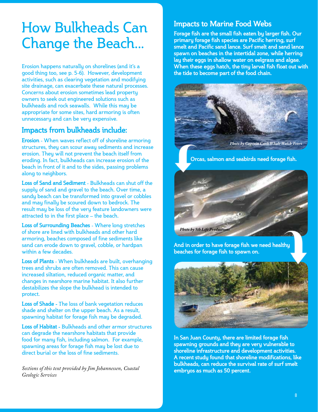### How Bulkheads Can Change the Beach...

Erosion happens naturally on shorelines (and it's a good thing too, see p. 5-6). However, development activities, such as clearing vegetation and modifying site drainage, can exacerbate these natural processes. Concerns about erosion sometimes lead property owners to seek out engineered solutions such as bulkheads and rock seawalls. While this may be appropriate for some sites, hard armoring is often unnecessary and can be very expensive.

### **Impacts from bulkheads include:**

**Erosion** - When waves reflect off of shoreline armoring structures, they can scour away sediments and increase erosion. They will not prevent the beach itself from eroding. In fact, bulkheads can increase erosion of the beach in front of it and to the sides, passing problems along to neighbors.

**Loss of Sand and Sediment** - Bulkheads can shut off the supply of sand and gravel to the beach. Over time, a sandy beach can be transformed into gravel or cobbles and may finally be scoured down to bedrock. The result may be loss of the very feature landowners were attracted to in the first place – the beach.

**Loss of Surrounding Beaches** - Where long stretches of shore are lined with bulkheads and other hard armoring, beaches composed of fine sediments like sand can erode down to gravel, cobble, or hardpan within a few decades.

**Loss of Plants** - When bulkheads are built, overhanging trees and shrubs are often removed. This can cause increased siltation, reduced organic matter, and changes in nearshore marine habitat. It also further destabilizes the slope the bulkhead is intended to protect.

**Loss of Shade -** The loss of bank vegetation reduces shade and shelter on the upper beach. As a result, spawning habitat for forage fish may be degraded.

**Loss of Habitat -** Bulkheads and other armor structures can degrade the nearshore habitats that provide food for many fish, including salmon. For example, spawning areas for forage fish may be lost due to direct burial or the loss of fine sediments.

*Sections of this text provided by Jim Johannessen, Coastal Geologic Services*

#### **Impacts to Marine Food Webs**

**Forage fish are the small fish eaten by larger fish. Our primary forage fish species are Pacific herring, surf smelt and Pacific sand lance. Surf smelt and sand lance spawn on beaches in the intertidal zone, while herring lay their eggs in shallow water on eelgrass and algae. When these eggs hatch, the tiny larval fish float out with the tide to become part of the food chain.**



 **Orcas, salmon and seabirds need forage fish.** 



**And in order to have forage fish we need healthy beaches for forage fish to spawn on.** 



**In San Juan County, there are limited forage fish spawning grounds and they are very vulnerable to shoreline infrastructure and development activities. A recent study found that shoreline modifications, like bulkheads, can reduce the survival rate of surf smelt embryos as much as 50 percent.**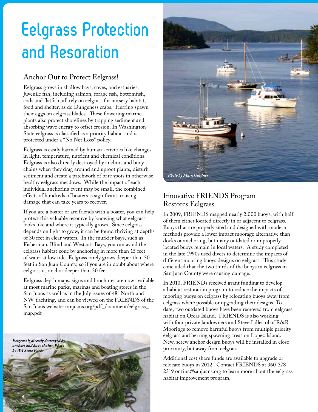### **Eelgrass Protection and Resoration**

### Anchor Out to Protect Eelgrass!

Eelgrass grows in shallow bays, coves, and estuaries. Juvenile fish, including salmon, forage fish, bottomfish, cods and flatfish, all rely on eelgrass for nursery habitat, food and shelter, as do Dungeness crabs. Herring spawn their eggs on eelgrass blades. These flowering marine plants also protect shorelines by trapping sediment and absorbing wave energy to offset erosion. In Washington State eelgrass is classified as a priority habitat and is protected under a "No Net Loss" policy.

Eelgrass is easily harmed by human activities like changes in light, temperature, nutrient and chemical conditions. Eelgrass is also directly destroyed by anchors and buoy chains when they drag around and uproot plants, disturb sediment and create a patchwork of bare spots in otherwise healthy eelgrass meadows. While the impact of each individual anchoring event may be small, the combined effects of hundreds of boaters is significant, causing damage that can take years to recover.

If you are a boater or are friends with a boater, you can help protect this valuable resource by knowing what eelgrass looks like and where it typically grows. Since eelgrass depends on light to grow, it can be found thriving at depths of 30 feet in clear waters. In the murkier bays, such as Fisherman, Blind and Westcott Bays, you can avoid the eelgrass habitat zone by anchoring in more than 15 feet of water at low tide. Eelgrass rarely grows deeper than 30 feet in San Juan County, so if you are in doubt about where eelgrass is, anchor deeper than 30 feet.

Eelgrass depth maps, signs and brochures are now available at most marine parks, marinas and boating stores in the San Juans as well as in the July issues of 48° North and NW Yachting, and can be viewed on the FRIENDS of the San Juans website: sanjuans.org/pdf\_document/eelgrass\_ map.pdf





### Innovative FRIENDS Program Restores Eelgrass

In 2009, FRIENDS mapped nearly 2,000 buoys, with half of them either located directly in or adjacent to eelgrass. Buoys that are properly sited and designed with modern methods provide a lower impact moorage alternative than docks or anchoring, but many outdated or improperly located buoys remain in local waters. A study completed in the late 1990s used divers to determine the impacts of different mooring buoys designs on eelgrass. This study concluded that the two thirds of the buoys in eelgrass in San Juan County were causing damage.

In 2010, FRIENDs received grant funding to develop a habitat restoration program to reduce the impacts of mooring buoys on eelgrass by relocating buoys away from eelgrass where possible or upgrading their designs. To date, two outdated buoys have been removed from eelgrass habitat on Orcas Island. FRIENDS is also working with four private landowners and Steve Lillestol of R&R Moorings to remove harmful buoys from multiple priority eelgrass and herring spawning areas on Lopez Island. New, screw anchor design buoys will be installed in close proximity, but away from eelgrass.

Additional cost share funds are available to upgrade or relocate buoys in 2012! Contact FRIENDS at 360-378- 2319 or tina@sanjuans.org to learn more about the eelgrass habitat improvement program.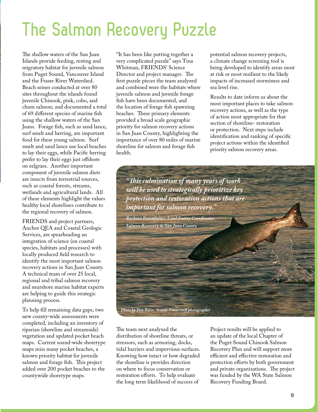### **The Salmon Recovery Puzzle**

The shallow waters of the San Juan Islands provide feeding, resting and migratory habitat for juvenile salmon from Puget Sound, Vancouver Island and the Fraser River Watershed. Beach seines conducted at over 80 sites throughout the islands found juvenile Chinook, pink, coho, and chum salmon; and documented a total of 69 different species of marine fish using the shallow waters of the San Juans. Forage fish, such as sand lance, surf smelt and herring, are important food for these young salmon. Surf smelt and sand lance use local beaches to lay their eggs, while Pacific herring prefer to lay their eggs just offshore on eelgrass. Another important component of juvenile salmon diets are insects from terrestrial sources, such as coastal forests, streams, wetlands and agricultural lands. All of these elements highlight the values healthy local shorelines contribute to the regional recovery of salmon.

FRIENDS and project partners, Anchor QEA and Coastal Geologic Services, are spearheading an integration of science (on coastal species, habitats and processes) with locally produced field research to identify the most important salmon recovery actions in San Juan County. A technical team of over 25 local, regional and tribal salmon recovery and nearshore marine habitat experts are helping to guide this strategic planning process.

To help fill remaining data gaps, two new county-wide assessments were completed, including an inventory of riparian (shoreline and streamside) vegetation and updated pocket beach maps. Current sound-wide shoretype maps miss many pocket beaches, a known priority habitat for juvenile salmon and forage fish. This project added over 200 pocket beaches to the countywide shoretype maps.

"It has been like putting together a very complicated puzzle" says Tina Whitman, FRIENDS' Science Director and project manager. The first puzzle pieces the team analyzed and combined were the habitats where juvenile salmon and juvenile forage fish have been documented, and the location of forage fish spawning beaches. These primary elements provided a broad scale geographic priority for salmon recovery actions in San Juan County, highlighting the importance of over 80 miles of marine shoreline for salmon and forage fish health.

potential salmon recovery projects, a climate change screening tool is being developed to identify areas most at risk or most resilient to the likely impacts of increased storminess and sea level rise.

Results to date inform us about the most important places to take salmon recovery actions, as well as the type of action most appropriate for that section of shoreline- restoration or protection. Next steps include identification and ranking of specific project actions within the identified priority salmon recovery areas.



The team next analyzed the distribution of shoreline threats, or stressors, such as armoring, docks, tidal barriers and impervious surfaces. Knowing how intact or how degraded the shoreline is provides direction on where to focus conservation or restoration efforts. To help evaluate the long term likelihood of success of

Project results will be applied to an update of the local Chapter of the Puget Sound Chinook Salmon Recovery Plan and will support more efficient and effective restoration and protection efforts by both government and private organizations. The project was funded by the WA State Salmon Recovery Funding Board.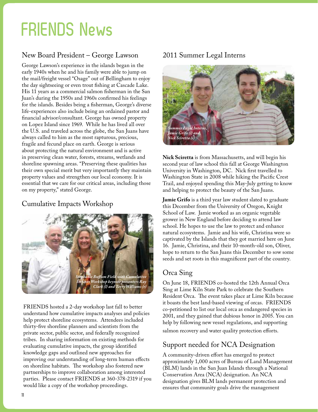### **FRIENDS News**

### New Board President – George Lawson 2011 Summer Legal Interns

George Lawson's experience in the islands began in the early 1940s when he and his family were able to jump on the mail/freight vessel "Osage" out of Bellingham to enjoy the day sightseeing or even trout fishing at Cascade Lake. His 11 years as a commercial salmon fisherman in the San Juan's during the 1950s and 1960s confirmed his feelings for the islands. Besides being a fisherman, George's diverse life-experiences also include being an ordained pastor and financial advisor/consultant. George has owned property on Lopez Island since 1969. While he has lived all over the U.S. and traveled across the globe, the San Juans have always called to him as the most rapturous, precious, fragile and fecund place on earth. George is serious about protecting the natural environment and is active in preserving clean water, forests, streams, wetlands and shoreline spawning areas. "Preserving these qualities has their own special merit but very importantly they maintain property values and strengthen our local economy. It is essential that we care for our critical areas, including those on my property," stated George.

### Cumulative Impacts Workshop



FRIENDS hosted a 2-day workshop last fall to better understand how cumulative impacts analyses and policies help protect shoreline ecosystems. Attendees included thirty-five shoreline planners and scientists from the private sector, public sector, and federally recognized tribes. In sharing information on existing methods for evaluating cumulative impacts, the group identified knowledge gaps and outlined new approaches for improving our understanding of long-term human effects on shoreline habitats. The workshop also fostered new partnerships to improve collaboration among interested parties. Please contact FRIENDS at 360-378-2319 if you would like a copy of the workshop proceedings.



**Nick Sciretta** is from Massachusetts, and will begin his second year of law school this fall at George Washington University in Washington, DC. Nick first travelled to Washington State in 2008 while hiking the Pacific Crest Trail, and enjoyed spending this May-July getting to know and helping to protect the beauty of the San Juans.

**Jamie Grifo** is a third year law student slated to graduate this December from the University of Oregon, Knight School of Law. Jamie worked as an organic vegetable grower in New England before deciding to attend law school. He hopes to use the law to protect and enhance natural ecosystems. Jamie and his wife, Christina were so captivated by the Islands that they got married here on June 16. Jamie, Christina, and their 10-month-old son, Oliver, hope to return to the San Juans this December to sow some seeds and set roots in this magnificent part of the country.

#### Orca Sing

On June 18, FRIENDS co-hosted the 12th Annual Orca Sing at Lime Kiln State Park to celebrate the Southern Resident Orca. The event takes place at Lime Kiln because it boasts the best land-based viewing of orcas. FRIENDS co-petitioned to list our local orca as endangered species in 2001, and they gained that dubious honor in 2005. You can help by following new vessel regulations, and supporting salmon recovery and water quality protection efforts.

#### Support needed for NCA Designation

A community-driven effort has emerged to protect approximately 1,000 acres of Bureau of Land Management (BLM) lands in the San Juan Islands through a National Conservation Area (NCA) designation. An NCA designation gives BLM lands permanent protection and ensures that community goals drive the management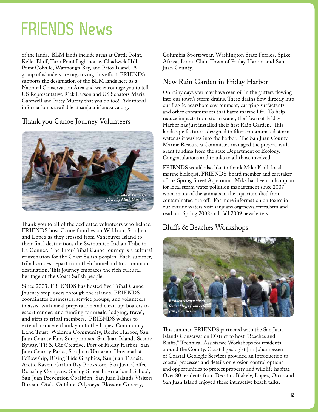### **FRIENDS News**

*By Scott Rozenbaum, Wetlands Scientist, Rozewood Environmental Services* of the lands. BLM lands include areas at Cattle Point, Kellet Bluff, Turn Point Lighthouse, Chadwick Hill, Point Colville, Watmough Bay, and Patos Island. A group of islanders are organizing this effort. FRIENDS supports the designation of the BLM lands here as a National Conservation Area and we encourage you to tell US Representative Rick Larson and US Senators Maria Cantwell and Patty Murray that you do too! Additional information is available at sanjuanislandsnca.org.

#### Thank you Canoe Journey Volunteers



Thank you to all of the dedicated volunteers who helped FRIENDS host Canoe families on Waldron, San Juan and Lopez as they crossed from Vancouver Island to their final destination, the Swinomish Indian Tribe in La Conner. The Inter-Tribal Canoe Journey is a cultural rejuvenation for the Coast Salish peoples. Each summer, tribal canoes depart from their homeland to a common destination. This journey embraces the rich cultural heritage of the Coast Salish people.

Since 2003, FRIENDS has hosted five Tribal Canoe Journey stop-overs through the islands. FRIENDS coordinates businesses, service groups, and volunteers to assist with meal preparation and clean up; boaters to escort canoes; and funding for meals, lodging, travel, and gifts to tribal members. FRIENDS wishes to extend a sincere thank you to the Lopez Community Land Trust, Waldron Community, Roche Harbor, San Juan County Fair, Soroptimists, San Juan Islands Scenic Byway, Tif & Gif Creative, Port of Friday Harbor, San Juan County Parks, San Juan Unitarian Universalist Fellowship, Rising Tide Graphics, San Juan Transit, Arctic Raven, Griffin Bay Bookstore, San Juan Coffee Roasting Company, Spring Street International School, San Juan Prevention Coalition, San Juan Islands Visitors Bureau, Otak, Outdoor Odysseys, Blossom Grocery,

Columbia Sportswear, Washington State Ferries, Spike Africa, Lion's Club, Town of Friday Harbor and San Juan County.

### New Rain Garden in Friday Harbor

On rainy days you may have seen oil in the gutters flowing into our town's storm drains. These drains flow directly into our fragile nearshore environment, carrying surfactants and other contaminants that harm marine life. To help reduce impacts from storm water, the Town of Friday Harbor has just installed their first Rain Garden. This landscape feature is designed to filter contaminated storm water as it washes into the harbor. The San Juan County Marine Resources Committee managed the project, with grant funding from the state Department of Ecology. Congratulations and thanks to all those involved.

FRIENDS would also like to thank Mike Kaill, local marine biologist, FRIENDS' board member and caretaker of the Spring Street Aquarium. Mike has been a champion for local storm water pollution management since 2007 when many of the animals in the aquarium died from contaminated run off. For more information on toxics in our marine waters visit sanjuans.org/newsletters.htm and read our Spring 2008 and Fall 2009 newsletters.

### Bluffs & Beaches Workshops



This summer, FRIENDS partnered with the San Juan Islands Conservation District to host "Beaches and Bluffs," Technical Assistance Workshops for residents around the County. Coastal geologist Jim Johannessen of Coastal Geologic Services provided an introduction to coastal processes and details on erosion control options and opportunities to protect property and wildlife habitat. Over 80 residents from Decatur, Blakely, Lopez, Orcas and San Juan Island enjoyed these interactive beach talks.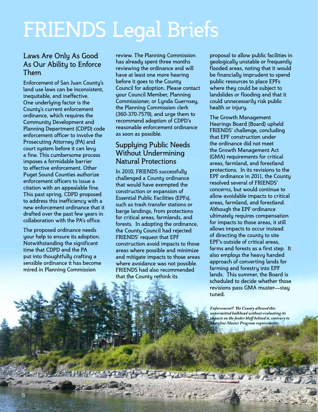# FRIENDS Legal Briefs

#### Laws Are Only As Good As Our Ability to Enforce Them

Enforcement of San Juan County's land use laws can be inconsistent, inequitable, and ineffective. One underlying factor is the County's current enforcement ordinance, which requires the Community Development and Planning Department (CDPD) code enforcement officer to involve the Prosecuting Attorney (PA) and court system before it can levy a fine. This cumbersome process imposes a formidable barrier to effective enforcement. Other Puget Sound Counties authorize enforcement officers to issue a citation with an appealable fine. This past spring, CDPD proposed to address this inefficiency with a new enforcement ordinance that it drafted over the past few years in collaboration with the PA's office.

The proposed ordinance needs your help to ensure its adoption. Notwithstanding the significant time that CDPD and the PA put into thoughtfully crafting a sensible ordinance it has become mired in Planning Commission

review. The Planning Commission has already spent three months reviewing the ordinance and will have at least one more hearing before it goes to the County Council for adoption. Please contact your Council Member, Planning Commissioner, or Lynda Guernsey, the Planning Commission clerk (360-370-7579), and urge them to recommend adoption of CDPD's reasonable enforcement ordinance as soon as possible.

### Supplying Public Needs Without Undermining Natural Protections

In 2010, FRIENDS successfully challenged a County ordinance that would have exempted the construction or expansion of Essential Public Facilities (EPFs), such as trash transfer stations or barge landings, from protections for critical areas, farmlands, and forests. In adopting the ordinance, the County Council had rejected FRIENDS' request that EPF construction avoid impacts to those areas where possible and minimize and mitigate impacts to those areas where avoidance was not possible. FRIENDS had also recommended that the County rethink its

proposal to allow public facilities in geologically unstable or frequently flooded areas, noting that it would be financially imprudent to spend public resources to place EPFs where they could be subject to landslides or flooding and that it could unnecessarily risk public health or injury.

The Growth Management Hearings Board (Board) upheld FRIENDS' challenge, concluding that EPF construction under the ordinance did not meet the Growth Management Act (GMA) requirements for critical areas, farmland, and forestland protections. In its revisions to the EPF ordinance in 2011, the County resolved several of FRIENDS' concerns, but would continue to allow avoidable impacts to critical areas, farmland, and forestland. Although the EPF ordinance ultimately requires compensation for impacts to those areas, it still allows impacts to occur instead of directing the county to site EPF's outside of critical areas, farms and forests as a first step. It also employs the heavy handed approach of converting lands for farming and forestry into EPF lands. This summer, the Board is scheduled to decide whether those revisions pass GMA muster—stay tuned.

*Enforcement? The County allowed this unpermitted bulkhead without evaluating its impacts on the feeder bluff behind it, contrary to Shoreline Master Program requirements.*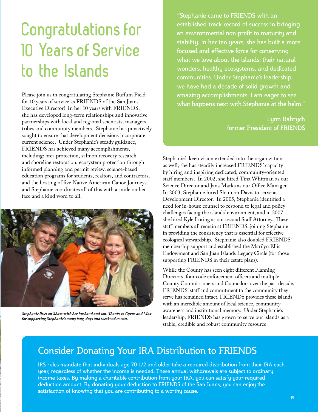### **Congratulations for 10 Years of Service to the Islands**

Please join us in congratulating Stephanie Buffum Field for 10 years of service as FRIENDS of the San Juans' Executive Director! In her 10 years with FRIENDS, she has developed long-term relationships and innovative partnerships with local and regional scientists, managers, tribes and community members. Stephanie has proactively sought to ensure that development decisions incorporate current science. Under Stephanie's steady guidance, FRIENDS has achieved many accomplishments, including: orca protection, salmon recovery research and shoreline restoration, ecosystem protection through informed planning and permit review, science-based education programs for students, realtors, and contractors, and the hosting of five Native American Canoe Journeys… and Stephanie coordinates all of this with a smile on her face and a kind word to all.



*Stephanie lives on Shaw with her husband and son. Thanks to Cyrus and Max for supporting Stephanie's many long days and weekend events.*

"Stephanie came to FRIENDS with an established track record of success in bringing an environmental non-profit to maturity and stability. In her ten years, she has built a more focused and effective force for conserving what we love about the islands: their natural wonders, healthy ecosystems, and dedicated communities. Under Stephanie's leadership, we have had a decade of solid growth and amazing accomplishments. I am eager to see what happens next with Stephanie at the helm."

> Lynn Bahrych former President of FRIENDS

Stephanie's keen vision extended into the organization as well; she has steadily increased FRIENDS' capacity by hiring and inspiring dedicated, community-oriented staff members. In 2002, she hired Tina Whitman as our Science Director and Jana Marks as our Office Manager. In 2003, Stephanie hired Shannon Davis to serve as Development Director. In 2005, Stephanie identified a need for in-house counsel to respond to legal and policy challenges facing the islands' environment, and in 2007 she hired Kyle Loring as our second Staff Attorney. These staff members all remain at FRIENDS, joining Stephanie in providing the consistency that is essential for effective ecological stewardship. Stephanie also doubled FRIENDS' membership support and established the Marilyn Ellis Endowment and San Juan Islands Legacy Circle (for those supporting FRIENDS in their estate plans).

While the County has seen eight different Planning Directors, four code enforcement officers and multiple County Commissioners and Councilors over the past decade, FRIENDS' staff and commitment to the community they serve has remained intact. FRIENDS provides these islands with an incredible amount of local science, community awareness and institutional memory. Under Stephanie's leadership, FRIENDS has grown to serve our islands as a stable, credible and robust community resource.

### Consider Donating Your IRA Distribution to FRIENDS

IRS rules mandate that individuals age 70 1/2 and older take a required distribution from their IRA each year, regardless of whether the income is needed. These annual withdrawals are subject to ordinary income taxes. By making a charitable contribution from your IRA, you can satisfy your required deduction amount. By donating your deduction to FRIENDS of the San Juans, you can enjoy the satisfaction of knowing that you are contributing to a worthy cause.